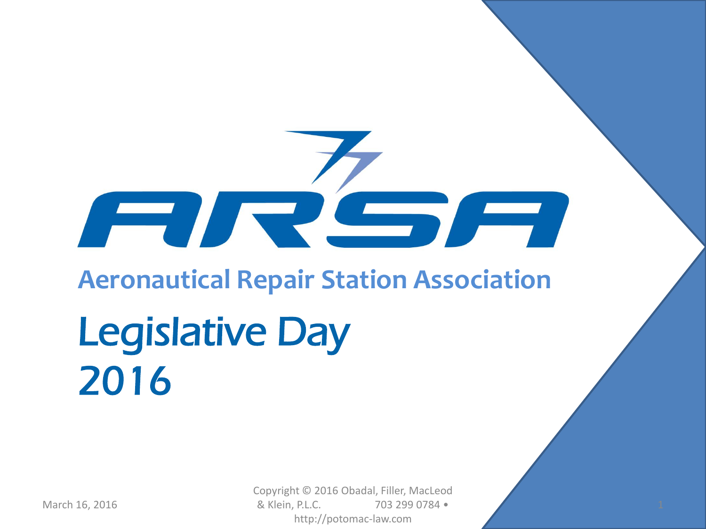# **Aeronautical Repair Station Association** Legislative Day 2016

**The Common Section** 

March 16, 2016 **19.1.** 2016 **19.1. 19.1. 19.1.** 20.1. 20.1. 20.1. 20.1. 20.1. 20.1. 20.1. 20.1. 20.1. 20.1. 20.1. 20.1. 20.1. 20.1. 20.1. 20.1. 20.1. 20.1. 20.1. 20.1. 20.1. 20.1. 20.1. 20.1. 20.1. 20.1. 20.1. 20.1. 20.1. Copyright © 2016 Obadal, Filler, MacLeod & Klein, P.L.C. 703 299 0784 • http://potomac-law.com

 $\sqrt{2}$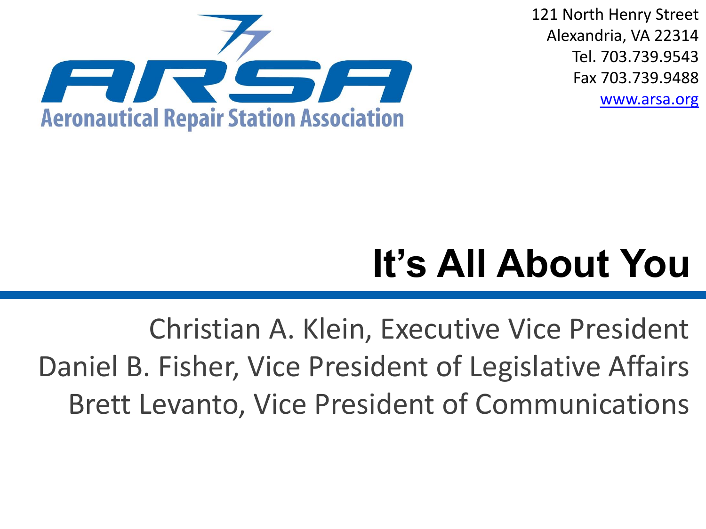

121 North Henry Street Alexandria, VA 22314 Tel. 703.739.9543 Fax 703.739.9488 [www.arsa.org](http://arsa.org/)

## **It's All About You**

Christian A. Klein, Executive Vice President Daniel B. Fisher, Vice President of Legislative Affairs Brett Levanto, Vice President of Communications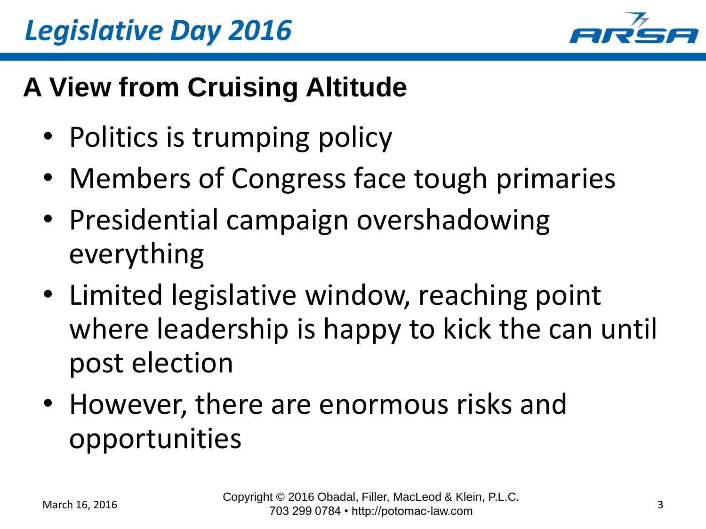

#### **A View from Cruising Altitude**

- Politics is trumping policy
- Members of Congress face tough primaries
- Presidential campaign overshadowing everything
- Limited legislative window, reaching point where leadership is happy to kick the can until post election
- However, there are enormous risks and opportunities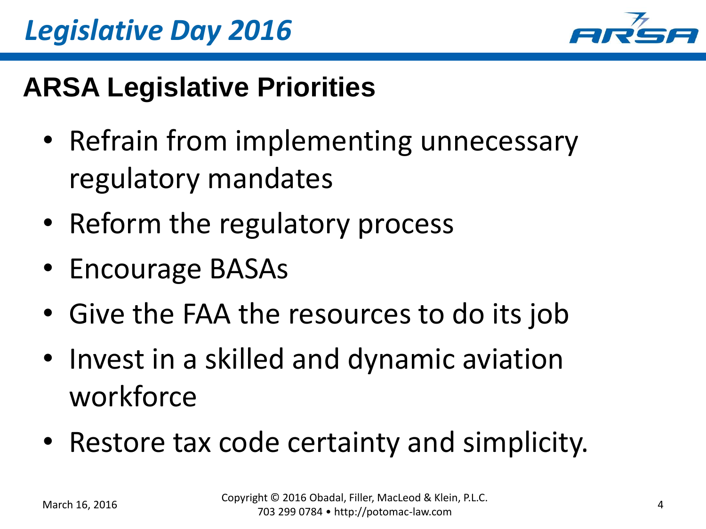



#### **ARSA Legislative Priorities**

- Refrain from implementing unnecessary regulatory mandates
- Reform the regulatory process
- Encourage BASAs
- Give the FAA the resources to do its job
- Invest in a skilled and dynamic aviation workforce
- Restore tax code certainty and simplicity.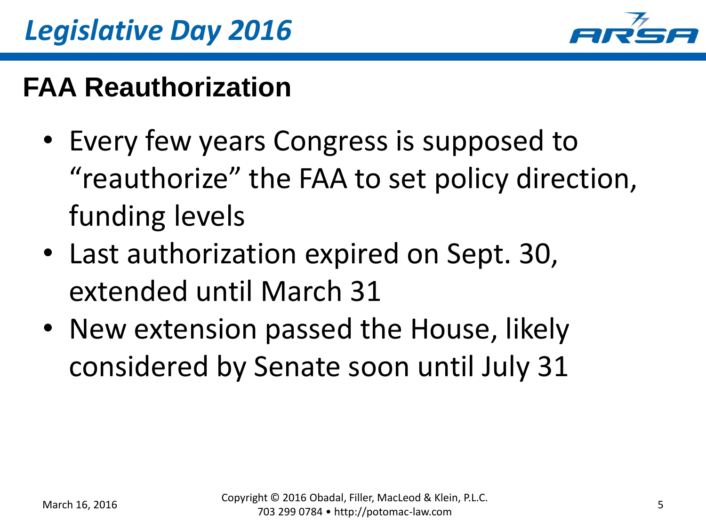

#### **FAA Reauthorization**

- Every few years Congress is supposed to "reauthorize" the FAA to set policy direction, funding levels
- Last authorization expired on Sept. 30, extended until March 31
- New extension passed the House, likely considered by Senate soon until July 31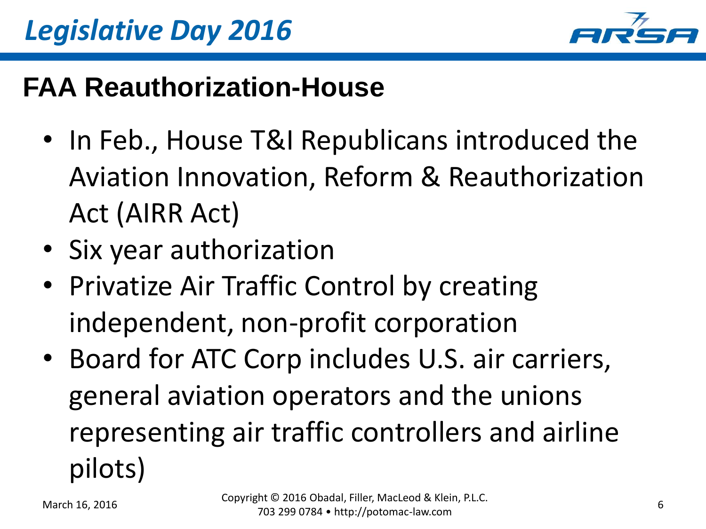

#### **FAA Reauthorization-House**

- In Feb., House T&I Republicans introduced the Aviation Innovation, Reform & Reauthorization Act (AIRR Act)
- Six year authorization
- Privatize Air Traffic Control by creating independent, non-profit corporation
- Board for ATC Corp includes U.S. air carriers, general aviation operators and the unions representing air traffic controllers and airline pilots)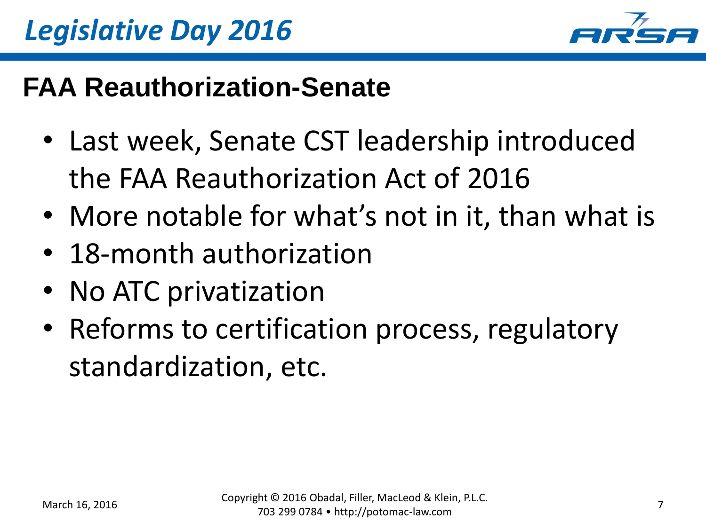

#### **FAA Reauthorization-Senate**

- Last week, Senate CST leadership introduced the FAA Reauthorization Act of 2016
- More notable for what's not in it, than what is
- 18-month authorization
- No ATC privatization
- Reforms to certification process, regulatory standardization, etc.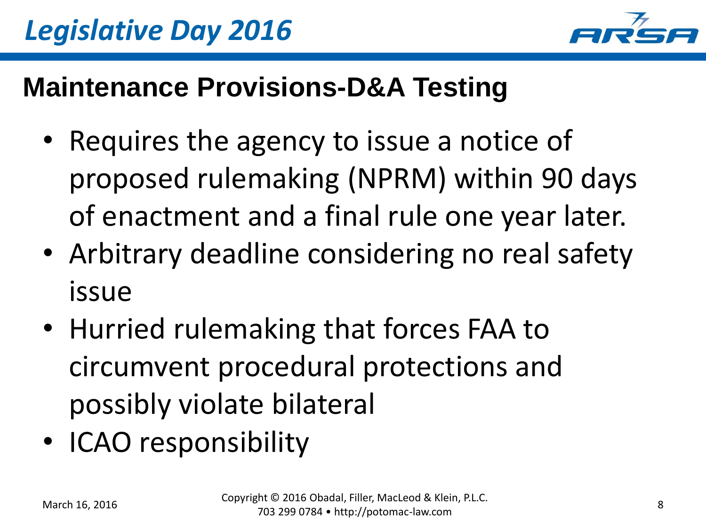

#### **Maintenance Provisions-D&A Testing**

- Requires the agency to issue a notice of proposed rulemaking (NPRM) within 90 days of enactment and a final rule one year later.
- Arbitrary deadline considering no real safety issue
- Hurried rulemaking that forces FAA to circumvent procedural protections and possibly violate bilateral
- ICAO responsibility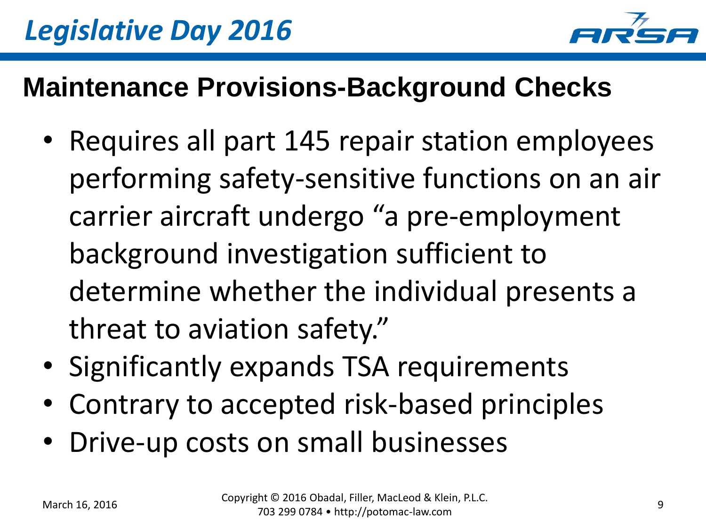

#### **Maintenance Provisions-Background Checks**

- Requires all part 145 repair station employees performing safety-sensitive functions on an air carrier aircraft undergo "a pre-employment background investigation sufficient to determine whether the individual presents a threat to aviation safety."
- Significantly expands TSA requirements
- Contrary to accepted risk-based principles
- Drive-up costs on small businesses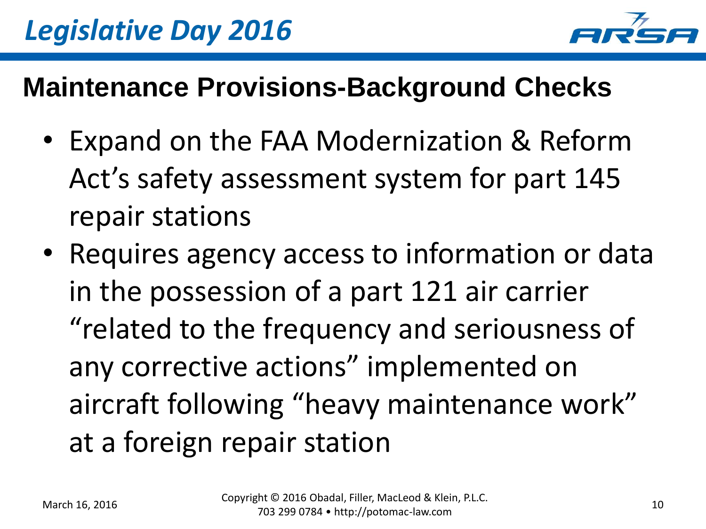

#### **Maintenance Provisions-Background Checks**

- Expand on the FAA Modernization & Reform Act's safety assessment system for part 145 repair stations
- Requires agency access to information or data in the possession of a part 121 air carrier "related to the frequency and seriousness of any corrective actions" implemented on aircraft following "heavy maintenance work" at a foreign repair station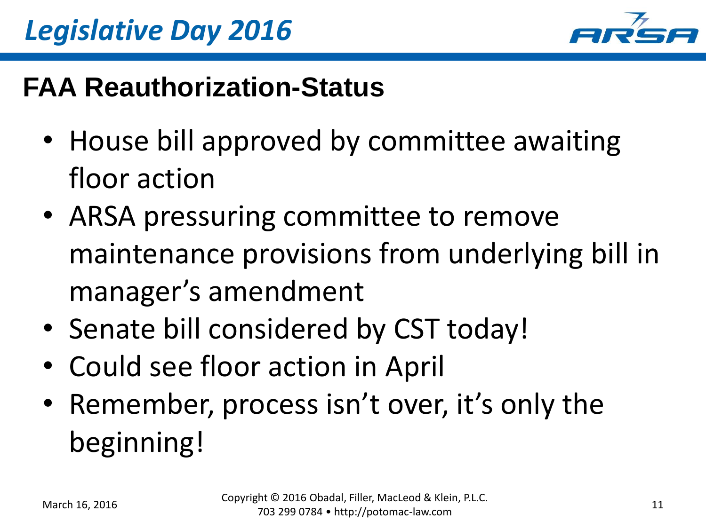

#### **FAA Reauthorization-Status**

- House bill approved by committee awaiting floor action
- ARSA pressuring committee to remove maintenance provisions from underlying bill in manager's amendment
- Senate bill considered by CST today!
- Could see floor action in April
- Remember, process isn't over, it's only the beginning!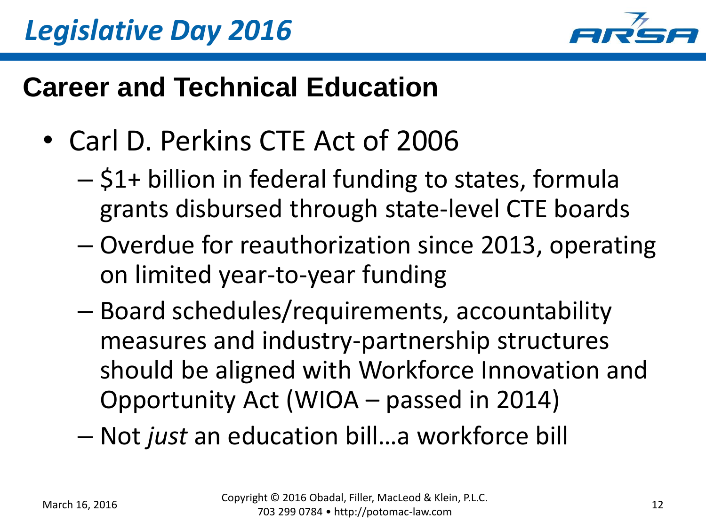

#### **Career and Technical Education**

- Carl D. Perkins CTE Act of 2006
	- \$1+ billion in federal funding to states, formula grants disbursed through state-level CTE boards
	- Overdue for reauthorization since 2013, operating on limited year-to-year funding
	- Board schedules/requirements, accountability measures and industry-partnership structures should be aligned with Workforce Innovation and Opportunity Act (WIOA – passed in 2014)

– Not *just* an education bill…a workforce bill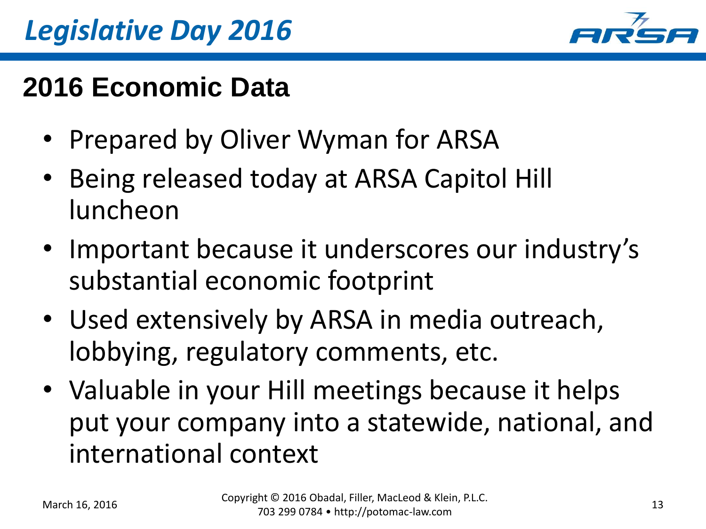

#### **2016 Economic Data**

- Prepared by Oliver Wyman for ARSA
- Being released today at ARSA Capitol Hill luncheon
- Important because it underscores our industry's substantial economic footprint
- Used extensively by ARSA in media outreach, lobbying, regulatory comments, etc.
- Valuable in your Hill meetings because it helps put your company into a statewide, national, and international context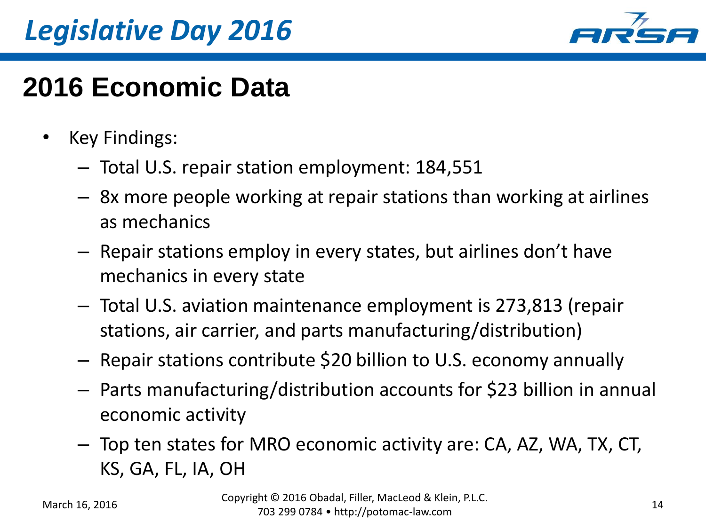## *Legislative Day 2016*



#### **2016 Economic Data**

- Key Findings:
	- Total U.S. repair station employment: 184,551
	- 8x more people working at repair stations than working at airlines as mechanics
	- Repair stations employ in every states, but airlines don't have mechanics in every state
	- Total U.S. aviation maintenance employment is 273,813 (repair stations, air carrier, and parts manufacturing/distribution)
	- Repair stations contribute \$20 billion to U.S. economy annually
	- Parts manufacturing/distribution accounts for \$23 billion in annual economic activity
	- Top ten states for MRO economic activity are: CA, AZ, WA, TX, CT, KS, GA, FL, IA, OH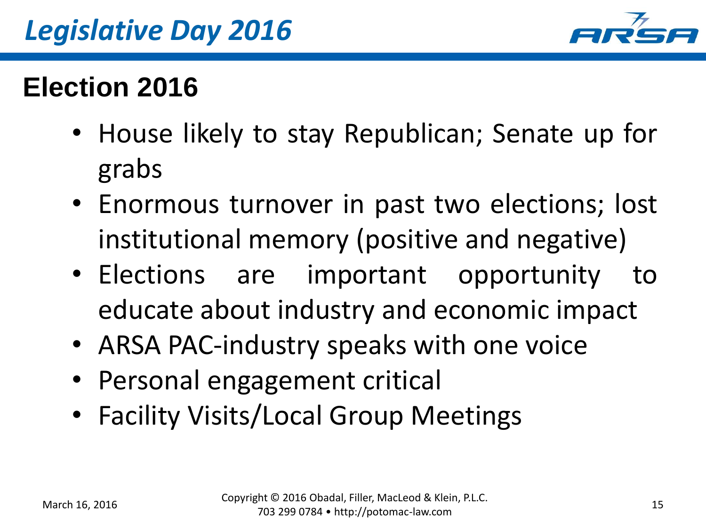

#### **Election 2016**

- House likely to stay Republican; Senate up for grabs
- Enormous turnover in past two elections; lost institutional memory (positive and negative)
- Elections are important opportunity to educate about industry and economic impact
- ARSA PAC-industry speaks with one voice
- Personal engagement critical
- Facility Visits/Local Group Meetings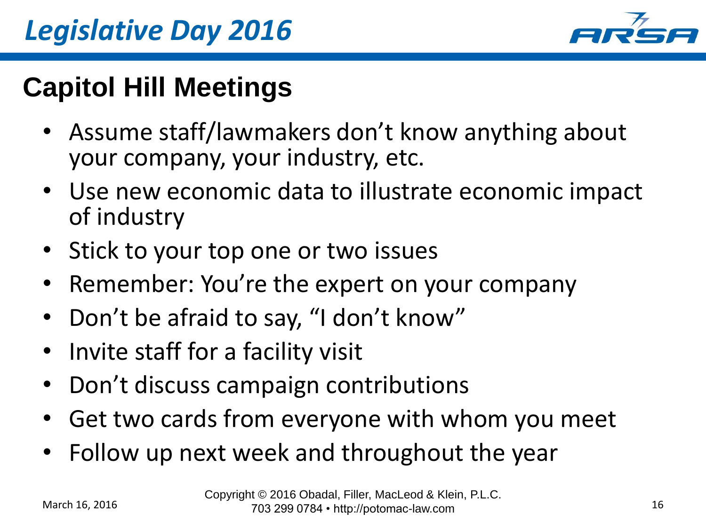

### **Capitol Hill Meetings**

- Assume staff/lawmakers don't know anything about your company, your industry, etc.
- Use new economic data to illustrate economic impact of industry
- Stick to your top one or two issues
- Remember: You're the expert on your company
- Don't be afraid to say, "I don't know"
- Invite staff for a facility visit
- Don't discuss campaign contributions
- Get two cards from everyone with whom you meet
- Follow up next week and throughout the year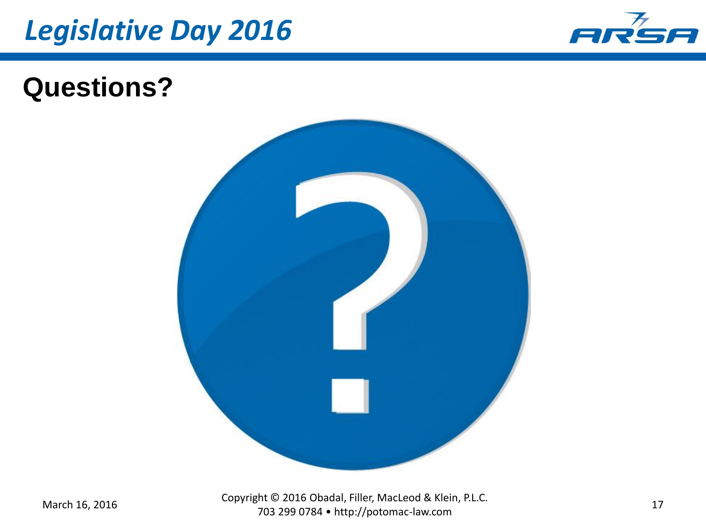



#### **Questions?**



March 16, 2016 Copyright © 2016 Obadal, Filler, MacLeod & Klein, P.L.C. Fine ≥2010 Obadai, Finer, MacEcod & Kienr, F.E.C. 17<br>703 299 0784 • http://potomac-law.com 17